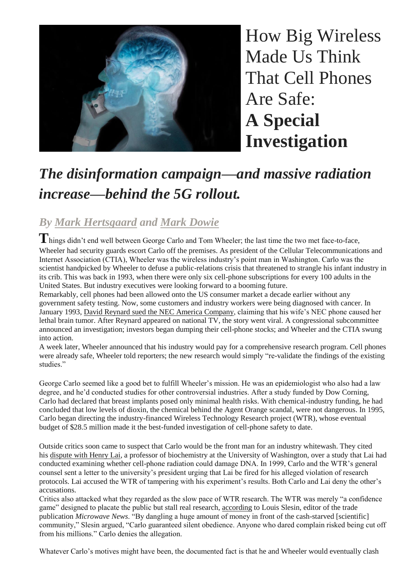

How Big Wireless Made Us Think That Cell Phones Are Safe: **A Special Investigation**

# *The disinformation campaign—and massive radiation increase—behind the 5G rollout.*

# *By Mark [Hertsgaard](https://www.thenation.com/authors/mark-hertsgaard/) and Mark [Dowie](https://www.thenation.com/authors/mark-dowie/)*

**T**hings didn't end well between George Carlo and Tom Wheeler; the last time the two met face-to-face, Wheeler had security guards escort Carlo off the premises. As president of the Cellular Telecommunications and Internet Association (CTIA), Wheeler was the wireless industry's point man in Washington. Carlo was the scientist handpicked by Wheeler to defuse a public-relations crisis that threatened to strangle his infant industry in its crib. This was back in 1993, when there were only six cell-phone subscriptions for every 100 adults in the United States. But industry executives were looking forward to a booming future.

Remarkably, cell phones had been allowed onto the US consumer market a decade earlier without any government safety testing. Now, some customers and industry workers were being diagnosed with cancer. In January 1993, David Reynard sued the NEC America [Company,](https://www.upi.com/Archives/1993/01/03/Lawsuit-claims-cellular-phones-cause-cancer/3575726037200/) claiming that his wife's NEC phone caused her lethal brain tumor. After Reynard appeared on national TV, the story went viral. A congressional subcommittee announced an investigation; investors began dumping their cell-phone stocks; and Wheeler and the CTIA swung into action.

A week later, Wheeler announced that his industry would pay for a comprehensive research program. Cell phones were already safe, Wheeler told reporters; the new research would simply "re-validate the findings of the existing studies."

George Carlo seemed like a good bet to fulfill Wheeler's mission. He was an epidemiologist who also had a law degree, and he'd conducted studies for other controversial industries. After a study funded by Dow Corning, Carlo had declared that breast implants posed only minimal health risks. With chemical-industry funding, he had concluded that low levels of dioxin, the chemical behind the Agent Orange scandal, were not dangerous. In 1995, Carlo began directing the industry-financed Wireless Technology Research project (WTR), whose eventual budget of \$28.5 million made it the best-funded investigation of cell-phone safety to date.

Outside critics soon came to suspect that Carlo would be the front man for an industry whitewash. They cited his [dispute](http://microwavenews.com/sites/default/files/sites/default/files/backissues/m-a99issue.pdf#page=12) with Henry Lai, a professor of biochemistry at the University of Washington, over a study that Lai had conducted examining whether cell-phone radiation could damage DNA. In 1999, Carlo and the WTR's general counsel sent a letter to the university's president urging that Lai be fired for his alleged violation of research protocols. Lai accused the WTR of tampering with his experiment's results. Both Carlo and Lai deny the other's accusations.

Critics also attacked what they regarded as the slow pace of WTR research. The WTR was merely "a confidence game" designed to placate the public but stall real research, [according](http://microwavenews.com/sites/default/files/sites/default/files/backissues/m-j03issue.pdf#page=18) to Louis Slesin, editor of the trade publication *Microwave News*. "By dangling a huge amount of money in front of the cash-starved [scientific] community," Slesin argued, "Carlo guaranteed silent obedience. Anyone who dared complain risked being cut off from his millions." Carlo denies the allegation.

Whatever Carlo's motives might have been, the documented fact is that he and Wheeler would eventually clash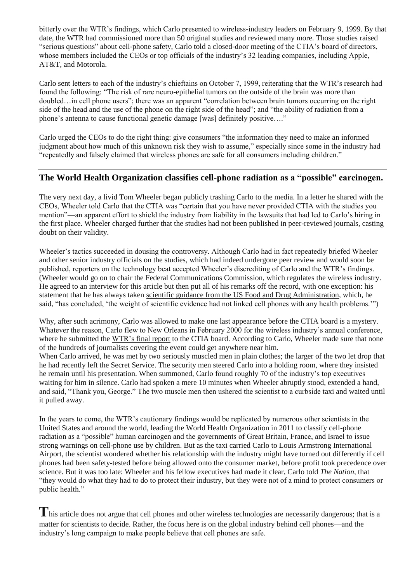bitterly over the WTR's findings, which Carlo presented to wireless-industry leaders on February 9, 1999. By that date, the WTR had commissioned more than 50 original studies and reviewed many more. Those studies raised "serious questions" about cell-phone safety, Carlo told a closed-door meeting of the CTIA's board of directors, whose members included the CEOs or top officials of the industry's 32 leading companies, including Apple, AT&T, and Motorola.

Carlo sent letters to each of the industry's chieftains on October 7, 1999, reiterating that the WTR's research had found the following: "The risk of rare neuro-epithelial tumors on the outside of the brain was more than doubled…in cell phone users"; there was an apparent "correlation between brain tumors occurring on the right side of the head and the use of the phone on the right side of the head"; and "the ability of radiation from a phone's antenna to cause functional genetic damage [was] definitely positive…."

Carlo urged the CEOs to do the right thing: give consumers "the information they need to make an informed judgment about how much of this unknown risk they wish to assume," especially since some in the industry had "repeatedly and falsely claimed that wireless phones are safe for all consumers including children."

#### **The World Health Organization classifies cell-phone radiation as a "possible" carcinogen.**

The very next day, a livid Tom Wheeler began publicly trashing Carlo to the media. In a letter he shared with the CEOs, Wheeler told Carlo that the CTIA was "certain that you have never provided CTIA with the studies you mention"—an apparent effort to shield the industry from liability in the lawsuits that had led to Carlo's hiring in the first place. Wheeler charged further that the studies had not been published in peer-reviewed journals, casting doubt on their validity.

Wheeler's tactics succeeded in dousing the controversy. Although Carlo had in fact repeatedly briefed Wheeler and other senior industry officials on the studies, which had indeed undergone peer review and would soon be published, reporters on the technology beat accepted Wheeler's discrediting of Carlo and the WTR's findings. (Wheeler would go on to chair the Federal Communications Commission, which regulates the wireless industry. He agreed to an interview for this article but then put all of his remarks off the record, with one exception: his statement that he has always taken scientific guidance from the US Food and Drug [Administration,](https://www.fda.gov/Radiation-EmittingProducts/RadiationEmittingProductsandProcedures/HomeBusinessandEntertainment/CellPhones/ucm116282.htm) which, he said, "has concluded, 'the weight of scientific evidence had not linked cell phones with any health problems.'")

Why, after such acrimony, Carlo was allowed to make one last appearance before the CTIA board is a mystery. Whatever the reason, Carlo flew to New Orleans in February 2000 for the wireless industry's annual conference, where he submitted the [WTR's](http://www.medscape.com/viewarticle/408066) final report to the CTIA board. According to Carlo, Wheeler made sure that none of the hundreds of journalists covering the event could get anywhere near him.

When Carlo arrived, he was met by two seriously muscled men in plain clothes; the larger of the two let drop that he had recently left the Secret Service. The security men steered Carlo into a holding room, where they insisted he remain until his presentation. When summoned, Carlo found roughly 70 of the industry's top executives waiting for him in silence. Carlo had spoken a mere 10 minutes when Wheeler abruptly stood, extended a hand, and said, "Thank you, George." The two muscle men then ushered the scientist to a curbside taxi and waited until it pulled away.

In the years to come, the WTR's cautionary findings would be replicated by numerous other scientists in the United States and around the world, leading the World Health Organization in 2011 to classify cell-phone radiation as a "possible" human carcinogen and the governments of Great Britain, France, and Israel to issue strong warnings on cell-phone use by children. But as the taxi carried Carlo to Louis Armstrong International Airport, the scientist wondered whether his relationship with the industry might have turned out differently if cell phones had been safety-tested before being allowed onto the consumer market, before profit took precedence over science. But it was too late: Wheeler and his fellow executives had made it clear, Carlo told *The Nation*, that "they would do what they had to do to protect their industry, but they were not of a mind to protect consumers or public health."

This article does not argue that cell phones and other wireless technologies are necessarily dangerous; that is a matter for scientists to decide. Rather, the focus here is on the global industry behind cell phones—and the industry's long campaign to make people believe that cell phones are safe.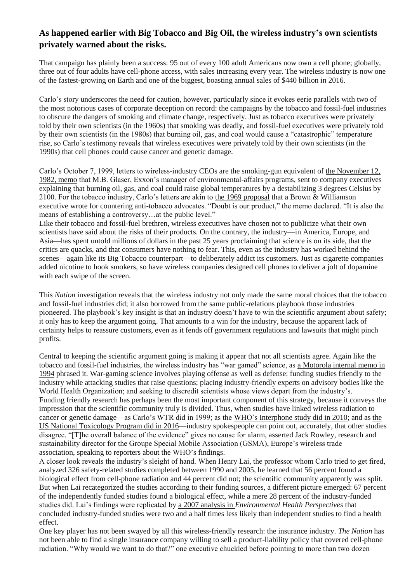## **As happened earlier with Big Tobacco and Big Oil, the wireless industry's own scientists privately warned about the risks.**

That campaign has plainly been a success: 95 out of every 100 adult Americans now own a cell phone; globally, three out of four adults have cell-phone access, with sales increasing every year. The wireless industry is now one of the fastest-growing on Earth and one of the biggest, boasting annual sales of \$440 billion in 2016.

Carlo's story underscores the need for caution, however, particularly since it evokes eerie parallels with two of the most notorious cases of corporate deception on record: the campaigns by the tobacco and fossil-fuel industries to obscure the dangers of smoking and climate change, respectively. Just as tobacco executives were privately told by their own scientists (in the 1960s) that smoking was deadly, and fossil-fuel executives were privately told by their own scientists (in the 1980s) that burning oil, gas, and coal would cause a "catastrophic" temperature rise, so Carlo's testimony reveals that wireless executives were privately told by their own scientists (in the 1990s) that cell phones could cause cancer and genetic damage.

Carlo's October 7, 1999, letters to wireless-industry CEOs are the smoking-gun equivalent of the [November](https://insideclimatenews.org/sites/default/files/documents/1982%20Exxon%20Primer%20on%20CO2%20Greenhouse%20Effect.pdf) 12, 1982, [memo](https://insideclimatenews.org/sites/default/files/documents/1982%20Exxon%20Primer%20on%20CO2%20Greenhouse%20Effect.pdf) that M.B. Glaser, Exxon's manager of environmental-affairs programs, sent to company executives explaining that burning oil, gas, and coal could raise global temperatures by a destabilizing 3 degrees Celsius by 2100. For the tobacco industry, Carlo's letters are akin to the 1969 [proposal](https://www.industrydocumentslibrary.ucsf.edu/tobacco/docs/#id=psdw0147) that a Brown & Williamson executive wrote for countering anti-tobacco advocates. "Doubt is our product," the memo declared. "It is also the means of establishing a controversy…at the public level."

Like their tobacco and fossil-fuel brethren, wireless executives have chosen not to publicize what their own scientists have said about the risks of their products. On the contrary, the industry—in America, Europe, and Asia—has spent untold millions of dollars in the past 25 years proclaiming that science is on its side, that the critics are quacks, and that consumers have nothing to fear. This, even as the industry has worked behind the scenes—again like its Big Tobacco counterpart—to deliberately addict its customers. Just as cigarette companies added nicotine to hook smokers, so have wireless companies designed cell phones to deliver a jolt of dopamine with each swipe of the screen.

This *Nation* investigation reveals that the wireless industry not only made the same moral choices that the tobacco and fossil-fuel industries did; it also borrowed from the same public-relations playbook those industries pioneered. The playbook's key insight is that an industry doesn't have to win the scientific argument about safety; it only has to keep the argument going. That amounts to a win for the industry, because the apparent lack of certainty helps to reassure customers, even as it fends off government regulations and lawsuits that might pinch profits.

Central to keeping the scientific argument going is making it appear that not all scientists agree. Again like the tobacco and fossil-fuel industries, the wireless industry has "war gamed" science, as a [Motorola](https://www.rfsafe.com/wp-content/uploads/2014/06/cell-phone-radiation-war-gaming-memo.pdf) internal memo in [1994](https://www.rfsafe.com/wp-content/uploads/2014/06/cell-phone-radiation-war-gaming-memo.pdf) phrased it. War-gaming science involves playing offense as well as defense: funding studies friendly to the industry while attacking studies that raise questions; placing industry-friendly experts on advisory bodies like the World Health Organization; and seeking to discredit scientists whose views depart from the industry's. Funding friendly research has perhaps been the most important component of this strategy, because it conveys the impression that the scientific community truly is divided. Thus, when studies have linked wireless radiation to cancer or genetic damage—as Carlo's WTR did in 1999; as the WHO's [Interphone](https://academic.oup.com/ije/article/39/3/675/631387) study did in 2010; and as [the](https://www.biorxiv.org/content/biorxiv/early/2016/05/26/055699.full.pdf) US National [Toxicology](https://www.biorxiv.org/content/biorxiv/early/2016/05/26/055699.full.pdf) Program did in 2016—industry spokespeople can point out, accurately, that other studies disagree. "[T]he overall balance of the evidence" gives no cause for alarm, asserted Jack Rowley, research and sustainability director for the Groupe Special Mobile Association (GSMA), Europe's wireless trade association, [speaking](https://www.gsma.com/newsroom/press-release/gsma-welcomes-publication-of-interphone-results/) to reporters about the WHO's findings.

A closer look reveals the industry's sleight of hand. When Henry Lai, the professor whom Carlo tried to get fired, analyzed 326 safety-related studies completed between 1990 and 2005, he learned that 56 percent found a biological effect from cell-phone radiation and 44 percent did not; the scientific community apparently was split. But when Lai recategorized the studies according to their funding sources, a different picture emerged: 67 percent of the independently funded studies found a biological effect, while a mere 28 percent of the industry-funded studies did. Lai's findings were replicated by a 2007 analysis in *[Environmental](https://www.ncbi.nlm.nih.gov/pmc/articles/PMC1797826/) Health Perspectives* that concluded industry-funded studies were two and a half times less likely than independent studies to find a health effect.

One key player has not been swayed by all this wireless-friendly research: the insurance industry. *The Nation* has not been able to find a single insurance company willing to sell a product-liability policy that covered cell-phone radiation. "Why would we want to do that?" one executive chuckled before pointing to more than two dozen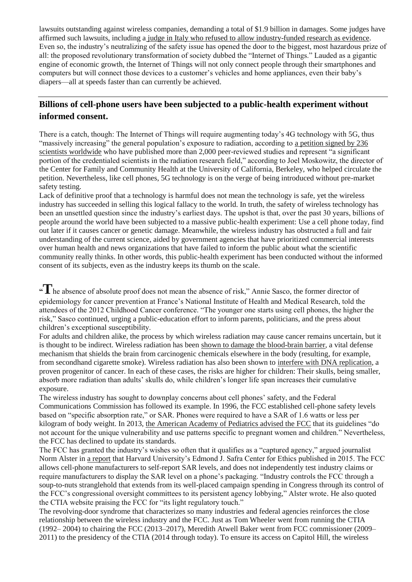lawsuits outstanding against wireless companies, demanding a total of \$1.9 billion in damages. Some judges have affirmed such lawsuits, including a judge in Italy who refused to allow [industry-funded](https://www.theguardian.com/technology/2017/apr/21/italian-court-rules-mobile-phone-use-caused-brain-tumour) research as evidence. Even so, the industry's neutralizing of the safety issue has opened the door to the biggest, most hazardous prize of all: the proposed revolutionary transformation of society dubbed the "Internet of Things." Lauded as a gigantic engine of economic growth, the Internet of Things will not only connect people through their smartphones and computers but will connect those devices to a customer's vehicles and home appliances, even their baby's diapers—all at speeds faster than can currently be achieved.

### **Billions of cell-phone users have been subjected to a public-health experiment without informed consent.**

There is a catch, though: The Internet of Things will require augmenting today's 4G technology with 5G, thus "massively increasing" the general population's exposure to radiation, according to a [petition](https://drive.google.com/file/d/0B14R6QNkmaXuelFrNWRQcThNV0U/view) signed by 236 scientists [worldwide](https://drive.google.com/file/d/0B14R6QNkmaXuelFrNWRQcThNV0U/view) who have published more than 2,000 peer-reviewed studies and represent "a significant portion of the credentialed scientists in the radiation research field," according to Joel Moskowitz, the director of the Center for Family and Community Health at the University of California, Berkeley, who helped circulate the petition. Nevertheless, like cell phones, 5G technology is on the verge of being introduced without pre-market safety testing.

Lack of definitive proof that a technology is harmful does not mean the technology is safe, yet the wireless industry has succeeded in selling this logical fallacy to the world. In truth, the safety of wireless technology has been an unsettled question since the industry's earliest days. The upshot is that, over the past 30 years, billions of people around the world have been subjected to a massive public-health experiment: Use a cell phone today, find out later if it causes cancer or genetic damage. Meanwhile, the wireless industry has obstructed a full and fair understanding of the current science, aided by government agencies that have prioritized commercial interests over human health and news organizations that have failed to inform the public about what the scientific community really thinks. In other words, this public-health experiment has been conducted without the informed consent of its subjects, even as the industry keeps its thumb on the scale.

#### **"T**he absence of absolute proof does not mean the absence of risk," Annie Sasco, the former director of epidemiology for cancer prevention at France's National Institute of Health and Medical Research, told the attendees of the 2012 Childhood Cancer conference. "The younger one starts using cell phones, the higher the risk," Sasco continued, urging a public-education effort to inform parents, politicians, and the press about children's exceptional susceptibility.

For adults and children alike, the process by which wireless radiation may cause cancer remains uncertain, but it is thought to be indirect. Wireless radiation has been shown to damage the [blood-brain](https://ecfsapi.fcc.gov/file/7520941992.pdf) barrier, a vital defense mechanism that shields the brain from carcinogenic chemicals elsewhere in the body (resulting, for example, from secondhand cigarette smoke). Wireless radiation has also been shown to interfere with DNA [replication,](https://arxiv.org/pdf/1409.1431.pdf) a proven progenitor of cancer. In each of these cases, the risks are higher for children: Their skulls, being smaller, absorb more radiation than adults' skulls do, while children's longer life span increases their cumulative exposure.

The wireless industry has sought to downplay concerns about cell phones' safety, and the Federal Communications Commission has followed its example. In 1996, the FCC established cell-phone safety levels based on "specific absorption rate," or SAR. Phones were required to have a SAR of 1.6 watts or less per kilogram of body weight. In 2013, the American Academy of [Pediatrics](https://ecfsapi.fcc.gov/file/7520941318.pdf) advised the FCC that its guidelines "do not account for the unique vulnerability and use patterns specific to pregnant women and children." Nevertheless, the FCC has declined to update its standards.

The FCC has granted the industry's wishes so often that it qualifies as a "captured agency," argued journalist Norm Alster in a [report](http://ethics.harvard.edu/files/center-for-ethics/files/capturedagency_alster.pdf) that Harvard University's Edmond J. Safra Center for Ethics published in 2015. The FCC allows cell-phone manufacturers to self-report SAR levels, and does not independently test industry claims or require manufacturers to display the SAR level on a phone's packaging. "Industry controls the FCC through a soup-to-nuts stranglehold that extends from its well-placed campaign spending in Congress through its control of the FCC's congressional oversight committees to its persistent agency lobbying," Alster wrote. He also quoted the CTIA website praising the FCC for "its light regulatory touch."

The revolving-door syndrome that characterizes so many industries and federal agencies reinforces the close relationship between the wireless industry and the FCC. Just as Tom Wheeler went from running the CTIA (1992– 2004) to chairing the FCC (2013–2017), Meredith Atwell Baker went from FCC commissioner (2009– 2011) to the presidency of the CTIA (2014 through today). To ensure its access on Capitol Hill, the wireless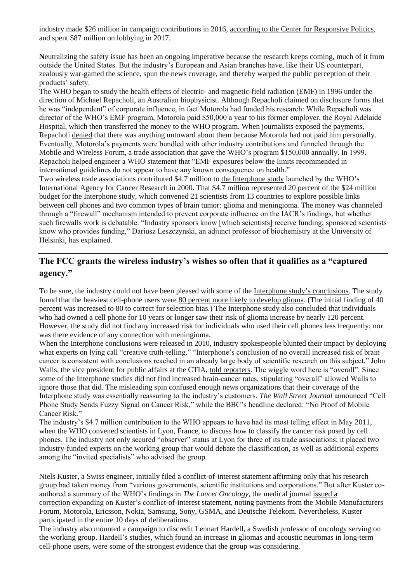industry made \$26 million in campaign contributions in 2016, according to the Center for [Responsive](https://www.opensecrets.org/industries/totals.php?ind=B09) Politics, and spent \$87 million on lobbying in 2017.

**N**eutralizing the safety issue has been an ongoing imperative because the research keeps coming, much of it from outside the United States. But the industry's European and Asian branches have, like their US counterpart, zealously war-gamed the science, spun the news coverage, and thereby warped the public perception of their products' safety.

The WHO began to study the health effects of electric- and magnetic-field radiation (EMF) in 1996 under the direction of Michael Repacholi, an Australian biophysicist. Although Repacholi claimed on disclosure forms that he was "independent" of corporate influence, in fact Motorola had funded his research: While Repacholi was director of the WHO's EMF program, Motorola paid \$50,000 a year to his former employer, the Royal Adelaide Hospital, which then transferred the money to the WHO program. When journalists exposed the payments, Repacholi [denied](http://microwavenews.com/CT.html) that there was anything untoward about them because Motorola had not paid him personally. Eventually, Motorola's payments were bundled with other industry contributions and funneled through the Mobile and Wireless Forum, a trade association that gave the WHO's program \$150,000 annually. In 1999, Repacholi helped engineer a WHO statement that "EMF exposures below the limits recommended in international guidelines do not appear to have any known consequence on health."

Two wireless trade associations contributed \$4.7 million to the [Interphone](http://www.iarc.fr/en/media-centre/pr/2011/pdfs/pr208_E.pdf) study launched by the WHO's International Agency for Cancer Research in 2000. That \$4.7 million represented 20 percent of the \$24 million budget for the Interphone study, which convened 21 scientists from 13 countries to explore possible links between cell phones and two common types of brain tumor: glioma and meningioma. The money was channeled through a "firewall" mechanism intended to prevent corporate influence on the IACR's findings, but whether such firewalls work is debatable. "Industry sponsors know [which scientists] receive funding; sponsored scientists know who provides funding," Dariusz Leszczynski, an adjunct professor of biochemistry at the University of Helsinki, has explained.

#### **The FCC grants the wireless industry's wishes so often that it qualifies as a "captured agency."**

To be sure, the industry could not have been pleased with some of the Interphone study's [conclusions.](https://academic.oup.com/ije/article/39/3/675/631387) The study found that the heaviest cell-phone users were 80 percent more likely to [develop](http://microwavenews.com/Interphone.Appendix2.html) glioma. (The initial finding of 40 percent was increased to 80 to correct for selection bias.) The Interphone study also concluded that individuals who had owned a cell phone for 10 years or longer saw their risk of glioma increase by nearly 120 percent. However, the study did not find any increased risk for individuals who used their cell phones less frequently; nor was there evidence of any connection with meningioma.

When the Interphone conclusions were released in 2010, industry spokespeople blunted their impact by deploying what experts on lying call "creative truth-telling." "Interphone's conclusion of no overall increased risk of brain cancer is consistent with conclusions reached in an already large body of scientific research on this subject," John Walls, the vice president for public affairs at the CTIA, told [reporters.](https://www.businesswire.com/news/home/20100517006038/en/CTIA%E2%80%93The-Wireless-Association-Statement-Interphone-Study) The wiggle word here is "overall": Since some of the Interphone studies did not find increased brain-cancer rates, stipulating "overall" allowed Walls to ignore those that did. The misleading spin confused enough news organizations that their coverage of the Interphone study was essentially reassuring to the industry's customers. *The Wall Street Journal* announced "Cell Phone Study Sends Fuzzy Signal on Cancer Risk," while the BBC's headline declared: "No Proof of Mobile Cancer Risk."

The industry's \$4.7 million contribution to the WHO appears to have had its most telling effect in May 2011, when the WHO convened scientists in Lyon, France, to discuss how to classify the cancer risk posed by cell phones. The industry not only secured "observer" status at Lyon for three of its trade associations; it placed two industry-funded experts on the working group that would debate the classification, as well as additional experts among the "invited specialists" who advised the group.

Niels Kuster, a Swiss engineer, initially filed a conflict-of-interest statement affirming only that his research group had taken money from "various governments, scientific institutions and corporations." But after Kuster coauthored a summary of the WHO's findings in *The Lancet Oncology*, the medical journal [issued](https://retractionwatch.com/2015/06/24/lancet-oncology-updates-coi-for-monograph-on-cancer-risk-of-cell-phones-other-devices/) a [correction](https://retractionwatch.com/2015/06/24/lancet-oncology-updates-coi-for-monograph-on-cancer-risk-of-cell-phones-other-devices/) expanding on Kuster's conflict-of-interest statement, noting payments from the Mobile Manufacturers Forum, Motorola, Ericsson, Nokia, Samsung, Sony, GSMA, and Deutsche Telekom. Nevertheless, Kuster participated in the entire 10 days of deliberations.

The industry also mounted a campaign to discredit Lennart Hardell, a Swedish professor of oncology serving on the working group. [Hardell's](https://www.nature.com/articles/6603070) studies, which found an increase in gliomas and acoustic neuromas in long-term cell-phone users, were some of the strongest evidence that the group was considering.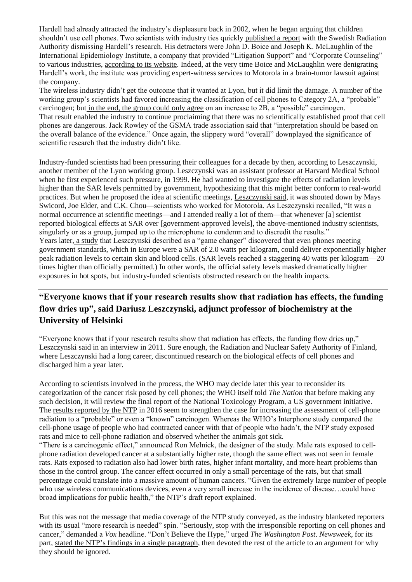Hardell had already attracted the industry's displeasure back in 2002, when he began arguing that children shouldn't use cell phones. Two scientists with industry ties quickly [published](https://pdfs.semanticscholar.org/4122/e9cc3b08a2ebead92692aa20410fe1b15f8f.pdf) a report with the Swedish Radiation Authority dismissing Hardell's research. His detractors were John D. Boice and Joseph K. McLaughlin of the International Epidemiology Institute, a company that provided "Litigation Support" and "Corporate Counseling" to various industries, [according](https://web.archive.org/web/20130403080359/https:/www.cspinet.org/integrity/nonprofits/international_epidemiology_institute.html/) to its website. Indeed, at the very time Boice and McLaughlin were denigrating Hardell's work, the institute was providing expert-witness services to Motorola in a brain-tumor lawsuit against the company.

The wireless industry didn't get the outcome that it wanted at Lyon, but it did limit the damage. A number of the working group's scientists had favored increasing the classification of cell phones to Category 2A, a "probable" carcinogen; but in the end, the [group](http://interphone.iarc.fr/UICC_Report_Final_03102011.pdf) could only agree on an increase to 2B, a "possible" carcinogen. That result enabled the industry to continue proclaiming that there was no scientifically established proof that cell phones are dangerous. Jack Rowley of the GSMA trade association said that "interpretation should be based on the overall balance of the evidence." Once again, the slippery word "overall" downplayed the significance of scientific research that the industry didn't like.

Industry-funded scientists had been pressuring their colleagues for a decade by then, according to Leszczynski, another member of the Lyon working group. Leszczynski was an assistant professor at Harvard Medical School when he first experienced such pressure, in 1999. He had wanted to investigate the effects of radiation levels higher than the SAR levels permitted by government, hypothesizing that this might better conform to real-world practices. But when he proposed the idea at scientific meetings, [Leszczynski](https://betweenrockandhardplace.wordpress.com/2015/02/12/the-gamechanger-revision-of-dosimetry-by-schmid-kuster/) said, it was shouted down by Mays Swicord, Joe Elder, and C.K. Chou—scientists who worked for Motorola. As Leszczynski recalled, "It was a normal occurrence at scientific meetings—and I attended really a lot of them—that whenever [a] scientist reported biological effects at SAR over [government-approved levels], the above-mentioned industry scientists, singularly or as a group, jumped up to the microphone to condemn and to discredit the results." Years later, a [study](https://www.ncbi.nlm.nih.gov/pubmed/25644546) that Leszczynski described as a "game changer" discovered that even phones meeting government standards, which in Europe were a SAR of 2.0 watts per kilogram, could deliver exponentially higher peak radiation levels to certain skin and blood cells. (SAR levels reached a staggering 40 watts per kilogram—20 times higher than officially permitted.) In other words, the official safety levels masked dramatically higher exposures in hot spots, but industry-funded scientists obstructed research on the health impacts.

## **"Everyone knows that if your research results show that radiation has effects, the funding flow dries up", said Dariusz Leszczynski, adjunct professor of biochemistry at the University of Helsinki**

"Everyone knows that if your research results show that radiation has effects, the funding flow dries up," Leszczynski said in an interview in 2011. Sure enough, the Radiation and Nuclear Safety Authority of Finland, where Leszczynski had a long career, discontinued research on the biological effects of cell phones and discharged him a year later.

According to scientists involved in the process, the WHO may decide later this year to reconsider its categorization of the cancer risk posed by cell phones; the WHO itself told *The Nation* that before making any such decision, it will review the final report of the National Toxicology Program, a US government initiative. The results [reported](https://www.biorxiv.org/content/biorxiv/early/2016/05/26/055699.full.pdf) by the NTP in 2016 seem to strengthen the case for increasing the assessment of cell-phone radiation to a "probable" or even a "known" carcinogen. Whereas the WHO's Interphone study compared the cell-phone usage of people who had contracted cancer with that of people who hadn't, the NTP study exposed rats and mice to cell-phone radiation and observed whether the animals got sick.

"There is a carcinogenic effect," announced Ron Melnick, the designer of the study. Male rats exposed to cellphone radiation developed cancer at a substantially higher rate, though the same effect was not seen in female rats. Rats exposed to radiation also had lower birth rates, higher infant mortality, and more heart problems than those in the control group. The cancer effect occurred in only a small percentage of the rats, but that small percentage could translate into a massive amount of human cancers. "Given the extremely large number of people who use wireless communications devices, even a very small increase in the incidence of disease…could have broad implications for public health," the NTP's draft report explained.

But this was not the message that media coverage of the NTP study conveyed, as the industry blanketed reporters with its usual "more research is needed" spin. "Seriously, stop with the [irresponsible](https://www.vox.com/2016/5/27/11797924/cellphones-cancer-bad-reporting) reporting on cell phones and [cancer,](https://www.vox.com/2016/5/27/11797924/cellphones-cancer-bad-reporting)" demanded a *Vox* headline. "Don't [Believe](https://www.washingtonpost.com/news/speaking-of-science/wp/2016/05/27/do-cellphones-cause-cancer-dont-believe-the-hype/) the Hype," urged *The Washington Post*. *Newsweek*, for its part, stated the NTP's findings in a single [paragraph,](http://www.newsweek.com/can-cell-phone-radiation-harm-your-health-new-california-guidelines-raise-751121) then devoted the rest of the article to an argument for why they should be ignored.